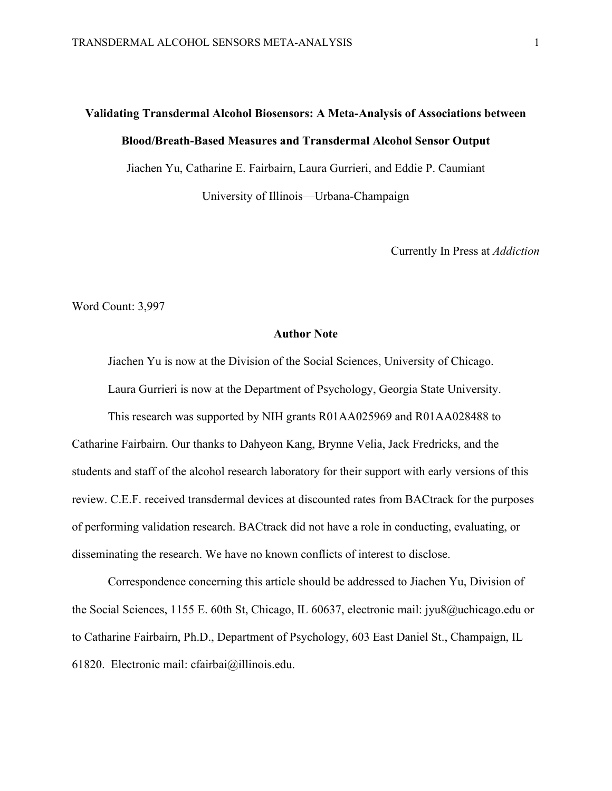# **Validating Transdermal Alcohol Biosensors: A Meta-Analysis of Associations between Blood/Breath-Based Measures and Transdermal Alcohol Sensor Output**

Jiachen Yu, Catharine E. Fairbairn, Laura Gurrieri, and Eddie P. Caumiant

University of Illinois—Urbana-Champaign

Currently In Press at *Addiction*

Word Count: 3,997

#### **Author Note**

Jiachen Yu is now at the Division of the Social Sciences, University of Chicago.

Laura Gurrieri is now at the Department of Psychology, Georgia State University.

This research was supported by NIH grants R01AA025969 and R01AA028488 to Catharine Fairbairn. Our thanks to Dahyeon Kang, Brynne Velia, Jack Fredricks, and the students and staff of the alcohol research laboratory for their support with early versions of this review. C.E.F. received transdermal devices at discounted rates from BACtrack for the purposes of performing validation research. BACtrack did not have a role in conducting, evaluating, or disseminating the research. We have no known conflicts of interest to disclose.

Correspondence concerning this article should be addressed to Jiachen Yu, Division of the Social Sciences, 1155 E. 60th St, Chicago, IL 60637, electronic mail: jyu8@uchicago.edu or to Catharine Fairbairn, Ph.D., Department of Psychology, 603 East Daniel St., Champaign, IL 61820. Electronic mail: cfairbai@illinois.edu.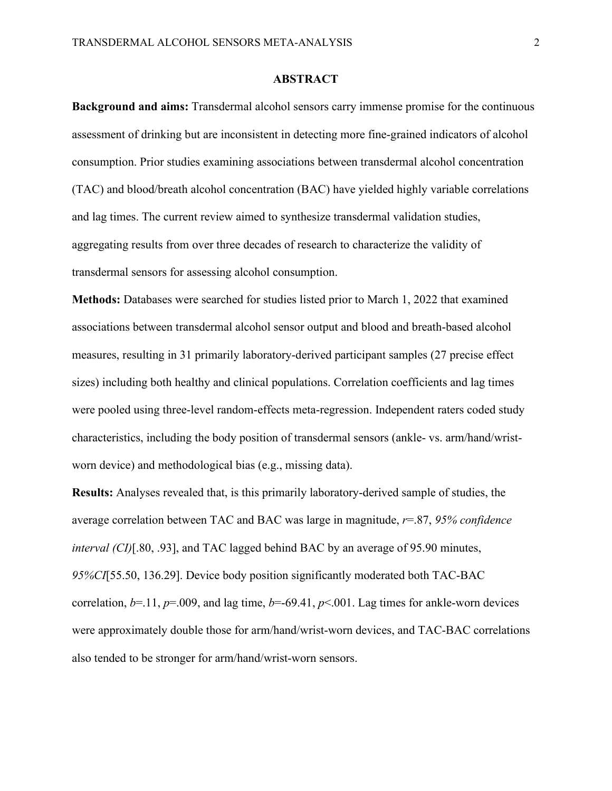#### **ABSTRACT**

**Background and aims:** Transdermal alcohol sensors carry immense promise for the continuous assessment of drinking but are inconsistent in detecting more fine-grained indicators of alcohol consumption. Prior studies examining associations between transdermal alcohol concentration (TAC) and blood/breath alcohol concentration (BAC) have yielded highly variable correlations and lag times. The current review aimed to synthesize transdermal validation studies, aggregating results from over three decades of research to characterize the validity of transdermal sensors for assessing alcohol consumption.

**Methods:** Databases were searched for studies listed prior to March 1, 2022 that examined associations between transdermal alcohol sensor output and blood and breath-based alcohol measures, resulting in 31 primarily laboratory-derived participant samples (27 precise effect sizes) including both healthy and clinical populations. Correlation coefficients and lag times were pooled using three-level random-effects meta-regression. Independent raters coded study characteristics, including the body position of transdermal sensors (ankle- vs. arm/hand/wristworn device) and methodological bias (e.g., missing data).

**Results:** Analyses revealed that, is this primarily laboratory-derived sample of studies, the average correlation between TAC and BAC was large in magnitude, *r*=.87, *95% confidence interval (CI)*[.80, .93], and TAC lagged behind BAC by an average of 95.90 minutes, *95%CI*[55.50, 136.29]. Device body position significantly moderated both TAC-BAC correlation,  $b=11$ ,  $p=.009$ , and lag time,  $b=.69.41$ ,  $p<.001$ . Lag times for ankle-worn devices were approximately double those for arm/hand/wrist-worn devices, and TAC-BAC correlations also tended to be stronger for arm/hand/wrist-worn sensors.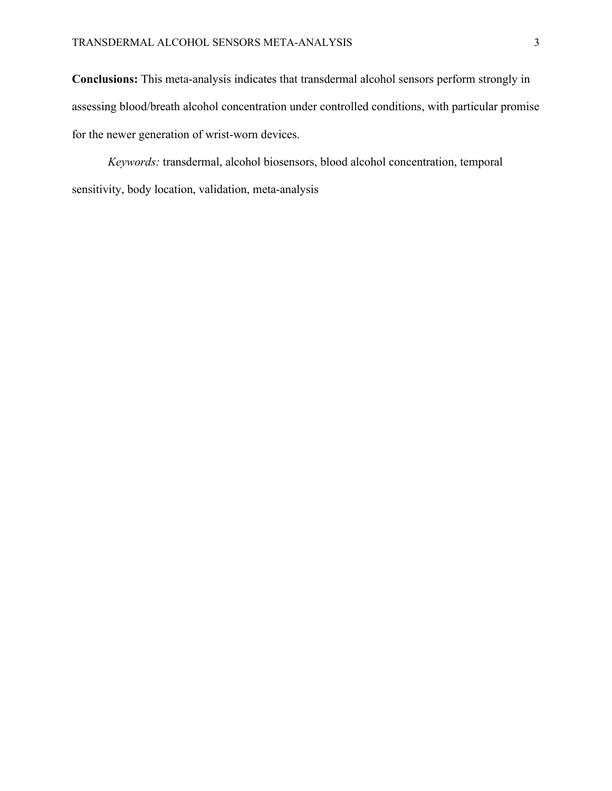**Conclusions:** This meta-analysis indicates that transdermal alcohol sensors perform strongly in assessing blood/breath alcohol concentration under controlled conditions, with particular promise for the newer generation of wrist-worn devices.

*Keywords:* transdermal, alcohol biosensors, blood alcohol concentration, temporal sensitivity, body location, validation, meta-analysis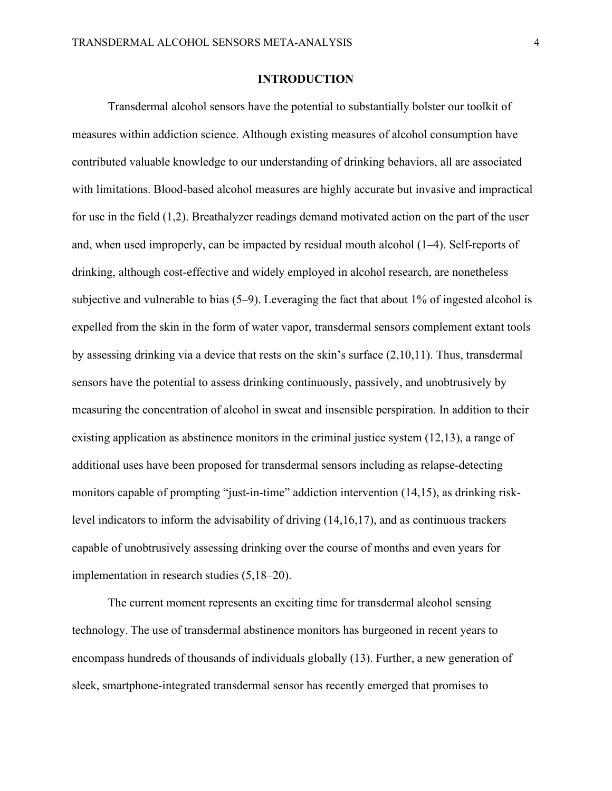#### **INTRODUCTION**

Transdermal alcohol sensors have the potential to substantially bolster our toolkit of measures within addiction science. Although existing measures of alcohol consumption have contributed valuable knowledge to our understanding of drinking behaviors, all are associated with limitations. Blood-based alcohol measures are highly accurate but invasive and impractical for use in the field (1,2). Breathalyzer readings demand motivated action on the part of the user and, when used improperly, can be impacted by residual mouth alcohol (1–4). Self-reports of drinking, although cost-effective and widely employed in alcohol research, are nonetheless subjective and vulnerable to bias (5–9). Leveraging the fact that about 1% of ingested alcohol is expelled from the skin in the form of water vapor, transdermal sensors complement extant tools by assessing drinking via a device that rests on the skin's surface (2,10,11). Thus, transdermal sensors have the potential to assess drinking continuously, passively, and unobtrusively by measuring the concentration of alcohol in sweat and insensible perspiration. In addition to their existing application as abstinence monitors in the criminal justice system (12,13), a range of additional uses have been proposed for transdermal sensors including as relapse-detecting monitors capable of prompting "just-in-time" addiction intervention (14,15), as drinking risklevel indicators to inform the advisability of driving (14,16,17), and as continuous trackers capable of unobtrusively assessing drinking over the course of months and even years for implementation in research studies (5,18–20).

The current moment represents an exciting time for transdermal alcohol sensing technology. The use of transdermal abstinence monitors has burgeoned in recent years to encompass hundreds of thousands of individuals globally (13). Further, a new generation of sleek, smartphone-integrated transdermal sensor has recently emerged that promises to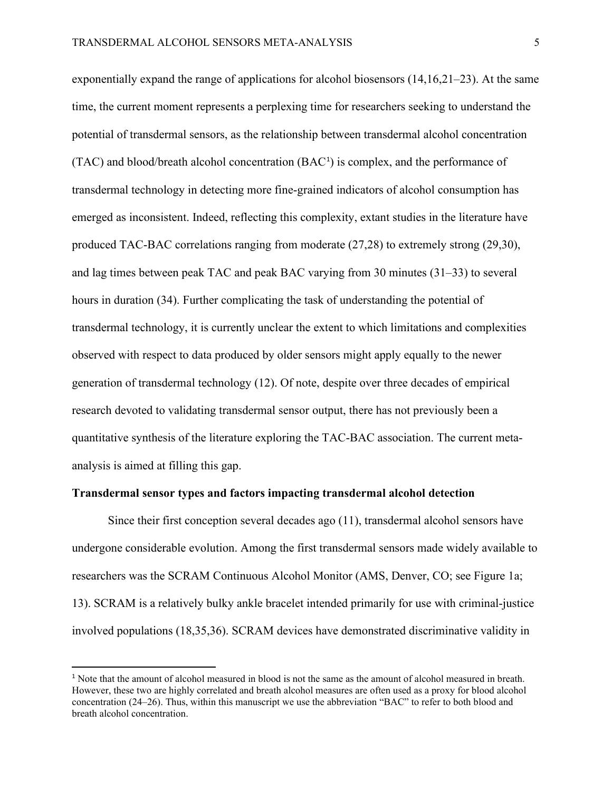exponentially expand the range of applications for alcohol biosensors  $(14,16,21-23)$ . At the same time, the current moment represents a perplexing time for researchers seeking to understand the potential of transdermal sensors, as the relationship between transdermal alcohol concentration  $(TAC)$  and blood/breath alcohol concentration  $(BAC<sup>1</sup>)$  $(BAC<sup>1</sup>)$  $(BAC<sup>1</sup>)$  is complex, and the performance of transdermal technology in detecting more fine-grained indicators of alcohol consumption has emerged as inconsistent. Indeed, reflecting this complexity, extant studies in the literature have produced TAC-BAC correlations ranging from moderate (27,28) to extremely strong (29,30), and lag times between peak TAC and peak BAC varying from 30 minutes (31–33) to several hours in duration (34). Further complicating the task of understanding the potential of transdermal technology, it is currently unclear the extent to which limitations and complexities observed with respect to data produced by older sensors might apply equally to the newer generation of transdermal technology (12). Of note, despite over three decades of empirical research devoted to validating transdermal sensor output, there has not previously been a quantitative synthesis of the literature exploring the TAC-BAC association. The current metaanalysis is aimed at filling this gap.

#### **Transdermal sensor types and factors impacting transdermal alcohol detection**

Since their first conception several decades ago (11), transdermal alcohol sensors have undergone considerable evolution. Among the first transdermal sensors made widely available to researchers was the SCRAM Continuous Alcohol Monitor (AMS, Denver, CO; see Figure 1a; 13). SCRAM is a relatively bulky ankle bracelet intended primarily for use with criminal-justice involved populations (18,35,36). SCRAM devices have demonstrated discriminative validity in

<span id="page-4-0"></span><sup>&</sup>lt;sup>1</sup> Note that the amount of alcohol measured in blood is not the same as the amount of alcohol measured in breath. However, these two are highly correlated and breath alcohol measures are often used as a proxy for blood alcohol concentration (24–26). Thus, within this manuscript we use the abbreviation "BAC" to refer to both blood and breath alcohol concentration.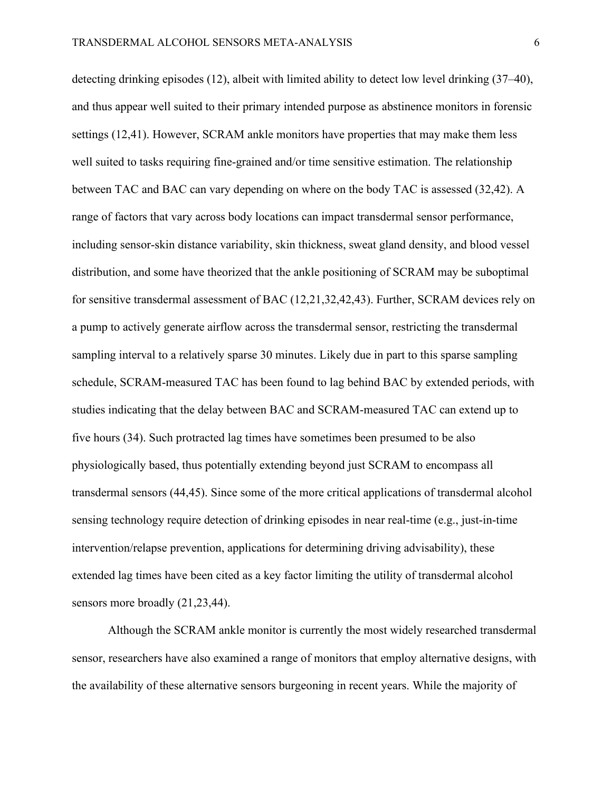detecting drinking episodes (12), albeit with limited ability to detect low level drinking (37–40), and thus appear well suited to their primary intended purpose as abstinence monitors in forensic settings (12,41). However, SCRAM ankle monitors have properties that may make them less well suited to tasks requiring fine-grained and/or time sensitive estimation. The relationship between TAC and BAC can vary depending on where on the body TAC is assessed (32,42). A range of factors that vary across body locations can impact transdermal sensor performance, including sensor-skin distance variability, skin thickness, sweat gland density, and blood vessel distribution, and some have theorized that the ankle positioning of SCRAM may be suboptimal for sensitive transdermal assessment of BAC (12,21,32,42,43). Further, SCRAM devices rely on a pump to actively generate airflow across the transdermal sensor, restricting the transdermal sampling interval to a relatively sparse 30 minutes. Likely due in part to this sparse sampling schedule, SCRAM-measured TAC has been found to lag behind BAC by extended periods, with studies indicating that the delay between BAC and SCRAM-measured TAC can extend up to five hours (34). Such protracted lag times have sometimes been presumed to be also physiologically based, thus potentially extending beyond just SCRAM to encompass all transdermal sensors (44,45). Since some of the more critical applications of transdermal alcohol sensing technology require detection of drinking episodes in near real-time (e.g., just-in-time intervention/relapse prevention, applications for determining driving advisability), these extended lag times have been cited as a key factor limiting the utility of transdermal alcohol sensors more broadly (21,23,44).

Although the SCRAM ankle monitor is currently the most widely researched transdermal sensor, researchers have also examined a range of monitors that employ alternative designs, with the availability of these alternative sensors burgeoning in recent years. While the majority of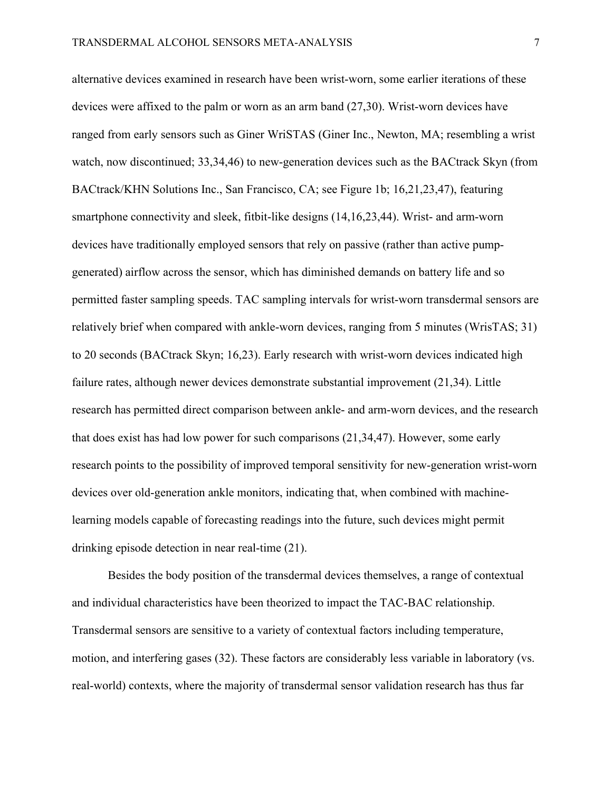alternative devices examined in research have been wrist-worn, some earlier iterations of these devices were affixed to the palm or worn as an arm band (27,30). Wrist-worn devices have ranged from early sensors such as Giner WriSTAS (Giner Inc., Newton, MA; resembling a wrist watch, now discontinued; 33,34,46) to new-generation devices such as the BACtrack Skyn (from BACtrack/KHN Solutions Inc., San Francisco, CA; see Figure 1b; 16,21,23,47), featuring smartphone connectivity and sleek, fitbit-like designs (14,16,23,44). Wrist- and arm-worn devices have traditionally employed sensors that rely on passive (rather than active pumpgenerated) airflow across the sensor, which has diminished demands on battery life and so permitted faster sampling speeds. TAC sampling intervals for wrist-worn transdermal sensors are relatively brief when compared with ankle-worn devices, ranging from 5 minutes (WrisTAS; 31) to 20 seconds (BACtrack Skyn; 16,23). Early research with wrist-worn devices indicated high failure rates, although newer devices demonstrate substantial improvement (21,34). Little research has permitted direct comparison between ankle- and arm-worn devices, and the research that does exist has had low power for such comparisons (21,34,47). However, some early research points to the possibility of improved temporal sensitivity for new-generation wrist-worn devices over old-generation ankle monitors, indicating that, when combined with machinelearning models capable of forecasting readings into the future, such devices might permit drinking episode detection in near real-time (21).

Besides the body position of the transdermal devices themselves, a range of contextual and individual characteristics have been theorized to impact the TAC-BAC relationship. Transdermal sensors are sensitive to a variety of contextual factors including temperature, motion, and interfering gases (32). These factors are considerably less variable in laboratory (vs. real-world) contexts, where the majority of transdermal sensor validation research has thus far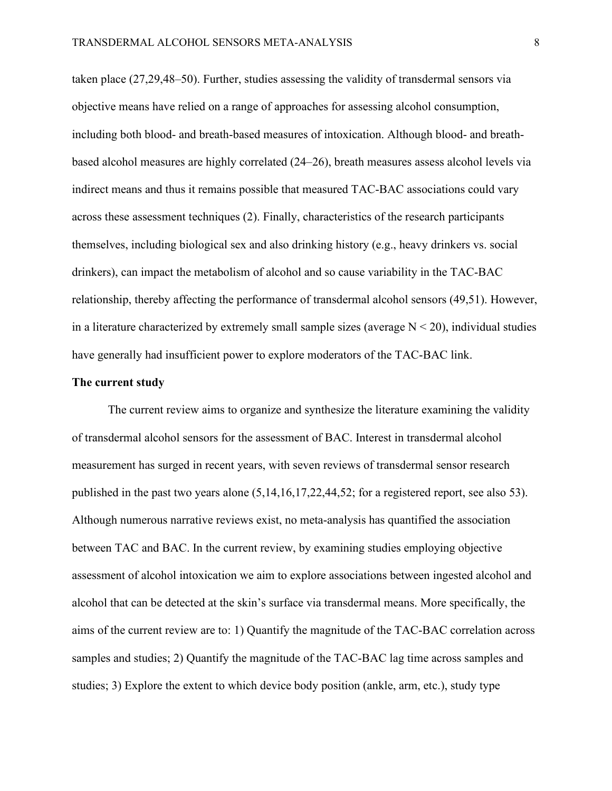taken place (27,29,48–50). Further, studies assessing the validity of transdermal sensors via objective means have relied on a range of approaches for assessing alcohol consumption, including both blood- and breath-based measures of intoxication. Although blood- and breathbased alcohol measures are highly correlated (24–26), breath measures assess alcohol levels via indirect means and thus it remains possible that measured TAC-BAC associations could vary across these assessment techniques (2). Finally, characteristics of the research participants themselves, including biological sex and also drinking history (e.g., heavy drinkers vs. social drinkers), can impact the metabolism of alcohol and so cause variability in the TAC-BAC relationship, thereby affecting the performance of transdermal alcohol sensors (49,51). However, in a literature characterized by extremely small sample sizes (average  $N < 20$ ), individual studies have generally had insufficient power to explore moderators of the TAC-BAC link.

#### **The current study**

The current review aims to organize and synthesize the literature examining the validity of transdermal alcohol sensors for the assessment of BAC. Interest in transdermal alcohol measurement has surged in recent years, with seven reviews of transdermal sensor research published in the past two years alone (5,14,16,17,22,44,52; for a registered report, see also 53). Although numerous narrative reviews exist, no meta-analysis has quantified the association between TAC and BAC. In the current review, by examining studies employing objective assessment of alcohol intoxication we aim to explore associations between ingested alcohol and alcohol that can be detected at the skin's surface via transdermal means. More specifically, the aims of the current review are to: 1) Quantify the magnitude of the TAC-BAC correlation across samples and studies; 2) Quantify the magnitude of the TAC-BAC lag time across samples and studies; 3) Explore the extent to which device body position (ankle, arm, etc.), study type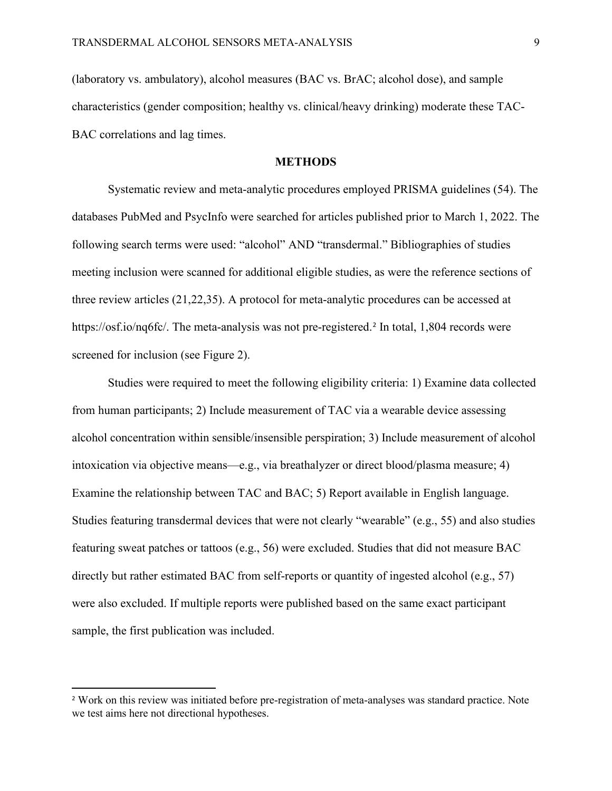(laboratory vs. ambulatory), alcohol measures (BAC vs. BrAC; alcohol dose), and sample characteristics (gender composition; healthy vs. clinical/heavy drinking) moderate these TAC-BAC correlations and lag times.

### **METHODS**

Systematic review and meta-analytic procedures employed PRISMA guidelines (54). The databases PubMed and PsycInfo were searched for articles published prior to March 1, 2022. The following search terms were used: "alcohol" AND "transdermal." Bibliographies of studies meeting inclusion were scanned for additional eligible studies, as were the reference sections of three review articles (21,22,35). A protocol for meta-analytic procedures can be accessed at https://osf.io/nq6fc/. The meta-analysis was not pre-registered.<sup>[2](#page-8-0)</sup> In total, 1,804 records were screened for inclusion (see Figure 2).

Studies were required to meet the following eligibility criteria: 1) Examine data collected from human participants; 2) Include measurement of TAC via a wearable device assessing alcohol concentration within sensible/insensible perspiration; 3) Include measurement of alcohol intoxication via objective means—e.g., via breathalyzer or direct blood/plasma measure; 4) Examine the relationship between TAC and BAC; 5) Report available in English language. Studies featuring transdermal devices that were not clearly "wearable" (e.g., 55) and also studies featuring sweat patches or tattoos (e.g., 56) were excluded. Studies that did not measure BAC directly but rather estimated BAC from self-reports or quantity of ingested alcohol (e.g., 57) were also excluded. If multiple reports were published based on the same exact participant sample, the first publication was included.

<span id="page-8-0"></span><sup>&</sup>lt;sup>2</sup> Work on this review was initiated before pre-registration of meta-analyses was standard practice. Note we test aims here not directional hypotheses.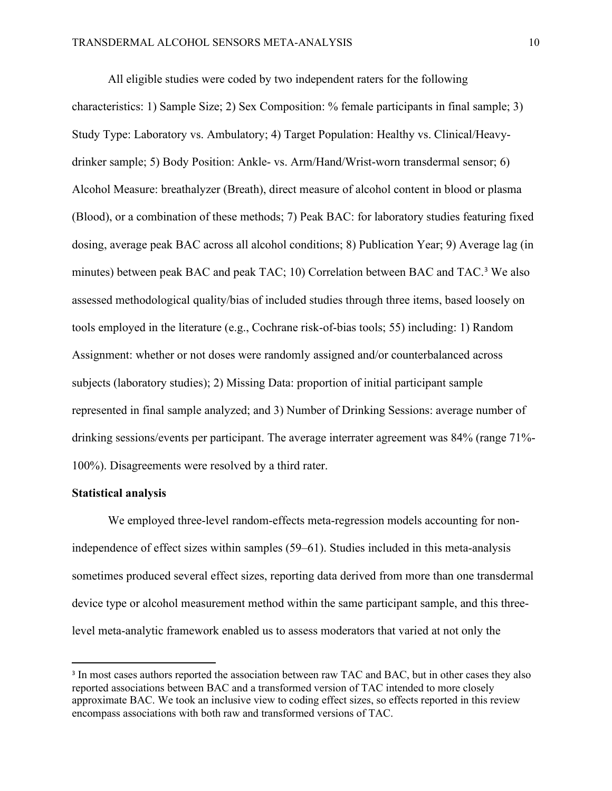All eligible studies were coded by two independent raters for the following characteristics: 1) Sample Size; 2) Sex Composition: % female participants in final sample; 3) Study Type: Laboratory vs. Ambulatory; 4) Target Population: Healthy vs. Clinical/Heavydrinker sample; 5) Body Position: Ankle- vs. Arm/Hand/Wrist-worn transdermal sensor; 6) Alcohol Measure: breathalyzer (Breath), direct measure of alcohol content in blood or plasma (Blood), or a combination of these methods; 7) Peak BAC: for laboratory studies featuring fixed dosing, average peak BAC across all alcohol conditions; 8) Publication Year; 9) Average lag (in minutes) between peak BAC and peak TAC; 10) Correlation between BAC and TAC. [3](#page-9-0) We also assessed methodological quality/bias of included studies through three items, based loosely on tools employed in the literature (e.g., Cochrane risk-of-bias tools; 55) including: 1) Random Assignment: whether or not doses were randomly assigned and/or counterbalanced across subjects (laboratory studies); 2) Missing Data: proportion of initial participant sample represented in final sample analyzed; and 3) Number of Drinking Sessions: average number of drinking sessions/events per participant. The average interrater agreement was 84% (range 71%- 100%). Disagreements were resolved by a third rater.

#### **Statistical analysis**

We employed three-level random-effects meta-regression models accounting for nonindependence of effect sizes within samples (59–61). Studies included in this meta-analysis sometimes produced several effect sizes, reporting data derived from more than one transdermal device type or alcohol measurement method within the same participant sample, and this threelevel meta-analytic framework enabled us to assess moderators that varied at not only the

<span id="page-9-0"></span><sup>&</sup>lt;sup>3</sup> In most cases authors reported the association between raw TAC and BAC, but in other cases they also reported associations between BAC and a transformed version of TAC intended to more closely approximate BAC. We took an inclusive view to coding effect sizes, so effects reported in this review encompass associations with both raw and transformed versions of TAC.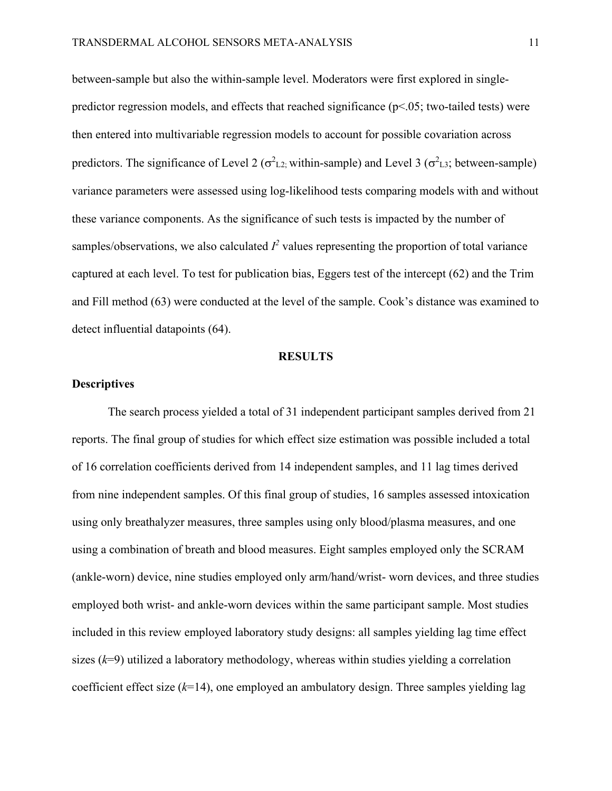between-sample but also the within-sample level. Moderators were first explored in singlepredictor regression models, and effects that reached significance ( $p<05$ ; two-tailed tests) were then entered into multivariable regression models to account for possible covariation across predictors. The significance of Level 2 ( $\sigma^2_{L2}$ ; within-sample) and Level 3 ( $\sigma^2_{L3}$ ; between-sample) variance parameters were assessed using log-likelihood tests comparing models with and without these variance components. As the significance of such tests is impacted by the number of samples/observations, we also calculated  $I^2$  values representing the proportion of total variance captured at each level. To test for publication bias, Eggers test of the intercept (62) and the Trim and Fill method (63) were conducted at the level of the sample. Cook's distance was examined to detect influential datapoints (64).

#### **RESULTS**

### **Descriptives**

The search process yielded a total of 31 independent participant samples derived from 21 reports. The final group of studies for which effect size estimation was possible included a total of 16 correlation coefficients derived from 14 independent samples, and 11 lag times derived from nine independent samples. Of this final group of studies, 16 samples assessed intoxication using only breathalyzer measures, three samples using only blood/plasma measures, and one using a combination of breath and blood measures. Eight samples employed only the SCRAM (ankle-worn) device, nine studies employed only arm/hand/wrist- worn devices, and three studies employed both wrist- and ankle-worn devices within the same participant sample. Most studies included in this review employed laboratory study designs: all samples yielding lag time effect sizes (*k*=9) utilized a laboratory methodology, whereas within studies yielding a correlation coefficient effect size (*k*=14), one employed an ambulatory design. Three samples yielding lag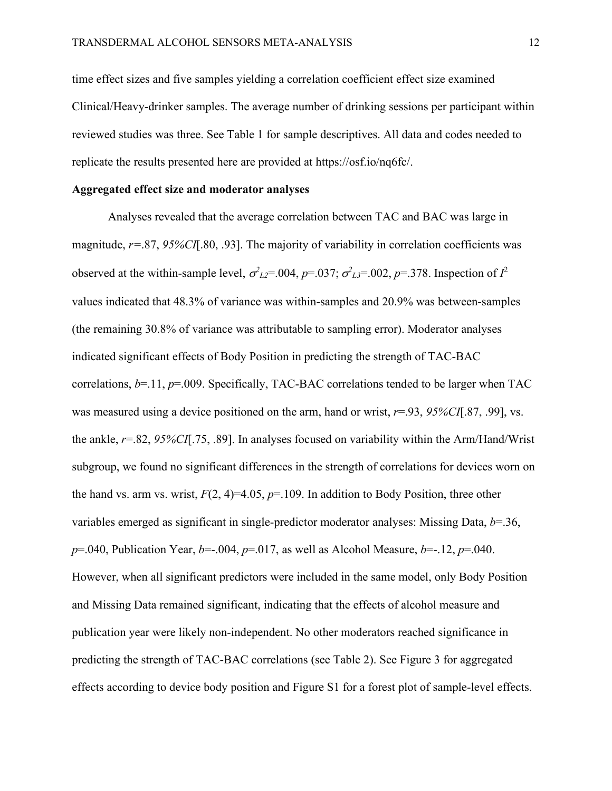time effect sizes and five samples yielding a correlation coefficient effect size examined Clinical/Heavy-drinker samples. The average number of drinking sessions per participant within reviewed studies was three. See Table 1 for sample descriptives. All data and codes needed to replicate the results presented here are provided at https://osf.io/nq6fc/.

## **Aggregated effect size and moderator analyses**

Analyses revealed that the average correlation between TAC and BAC was large in magnitude, *r=*.87, *95%CI*[.80, .93]. The majority of variability in correlation coefficients was observed at the within-sample level,  $\sigma_{L2}^2$ =.004,  $p$ =.037;  $\sigma_{L3}^2$ =.002,  $p$ =.378. Inspection of  $I^2$ values indicated that 48.3% of variance was within-samples and 20.9% was between-samples (the remaining 30.8% of variance was attributable to sampling error). Moderator analyses indicated significant effects of Body Position in predicting the strength of TAC-BAC correlations, *b*=.11, *p*=.009. Specifically, TAC-BAC correlations tended to be larger when TAC was measured using a device positioned on the arm, hand or wrist, *r*=.93, *95%CI*[.87, .99], vs. the ankle, *r*=.82, *95%CI*[.75, .89]. In analyses focused on variability within the Arm/Hand/Wrist subgroup, we found no significant differences in the strength of correlations for devices worn on the hand vs. arm vs. wrist,  $F(2, 4)=4.05$ ,  $p=.109$ . In addition to Body Position, three other variables emerged as significant in single-predictor moderator analyses: Missing Data, *b*=.36, *p*=.040, Publication Year, *b*=-.004, *p*=.017, as well as Alcohol Measure, *b*=-.12, *p*=.040. However, when all significant predictors were included in the same model, only Body Position and Missing Data remained significant, indicating that the effects of alcohol measure and publication year were likely non-independent. No other moderators reached significance in predicting the strength of TAC-BAC correlations (see Table 2). See Figure 3 for aggregated effects according to device body position and Figure S1 for a forest plot of sample-level effects.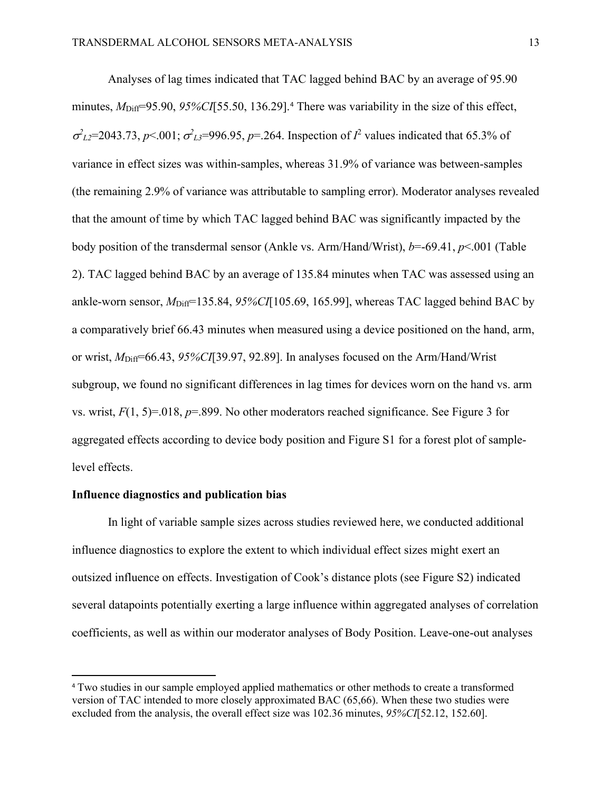Analyses of lag times indicated that TAC lagged behind BAC by an average of 95.90 minutes,  $M<sub>Diff</sub>=95.90, 95\% CI[55.50, 136.29].$ <sup>[4](#page-12-0)</sup> There was variability in the size of this effect,  $\sigma_{L2}^2$ =2043.73, *p*<.001;  $\sigma_{L3}^2$ =996.95, *p*=.264. Inspection of  $I^2$  values indicated that 65.3% of variance in effect sizes was within-samples, whereas 31.9% of variance was between-samples (the remaining 2.9% of variance was attributable to sampling error). Moderator analyses revealed that the amount of time by which TAC lagged behind BAC was significantly impacted by the body position of the transdermal sensor (Ankle vs. Arm/Hand/Wrist), *b*=-69.41, *p*<.001 (Table 2). TAC lagged behind BAC by an average of 135.84 minutes when TAC was assessed using an ankle-worn sensor,  $M<sub>Diff</sub>=135.84$ , 95%CI[105.69, 165.99], whereas TAC lagged behind BAC by a comparatively brief 66.43 minutes when measured using a device positioned on the hand, arm, or wrist, *M*Diff=66.43, *95%CI*[39.97, 92.89]. In analyses focused on the Arm/Hand/Wrist subgroup, we found no significant differences in lag times for devices worn on the hand vs. arm vs. wrist, *F*(1, 5)=.018, *p*=.899. No other moderators reached significance. See Figure 3 for aggregated effects according to device body position and Figure S1 for a forest plot of samplelevel effects.

#### **Influence diagnostics and publication bias**

In light of variable sample sizes across studies reviewed here, we conducted additional influence diagnostics to explore the extent to which individual effect sizes might exert an outsized influence on effects. Investigation of Cook's distance plots (see Figure S2) indicated several datapoints potentially exerting a large influence within aggregated analyses of correlation coefficients, as well as within our moderator analyses of Body Position. Leave-one-out analyses

<span id="page-12-0"></span><sup>4</sup> Two studies in our sample employed applied mathematics or other methods to create a transformed version of TAC intended to more closely approximated BAC (65,66). When these two studies were excluded from the analysis, the overall effect size was 102.36 minutes, *95%CI*[52.12, 152.60].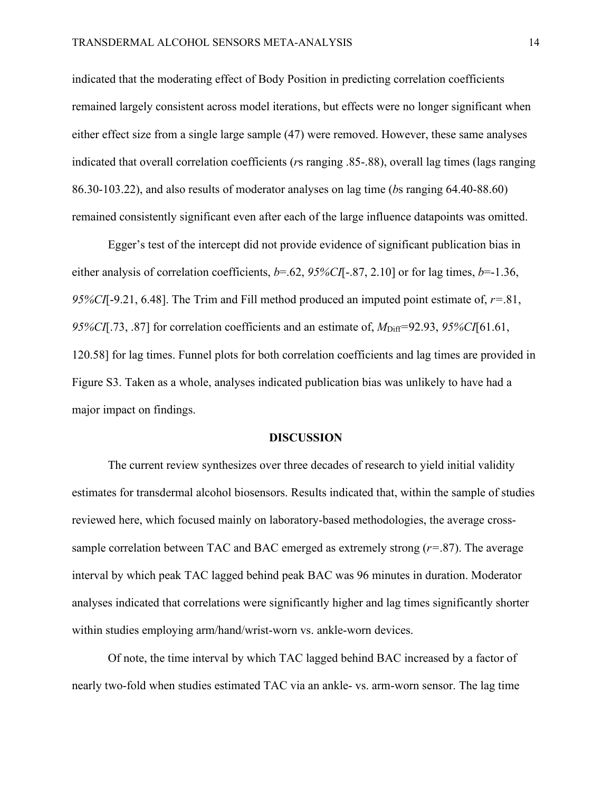indicated that the moderating effect of Body Position in predicting correlation coefficients remained largely consistent across model iterations, but effects were no longer significant when either effect size from a single large sample (47) were removed. However, these same analyses indicated that overall correlation coefficients (*r*s ranging .85-.88), overall lag times (lags ranging 86.30-103.22), and also results of moderator analyses on lag time (*b*s ranging 64.40-88.60) remained consistently significant even after each of the large influence datapoints was omitted.

Egger's test of the intercept did not provide evidence of significant publication bias in either analysis of correlation coefficients, *b*=.62, *95%CI*[-.87, 2.10] or for lag times, *b*=-1.36, *95%CI*[-9.21, 6.48]. The Trim and Fill method produced an imputed point estimate of, *r=*.81, *95%CI*[.73, .87] for correlation coefficients and an estimate of,  $M<sub>Diff</sub>=92.93$ , *95%CI*[61.61, 120.58] for lag times. Funnel plots for both correlation coefficients and lag times are provided in Figure S3. Taken as a whole, analyses indicated publication bias was unlikely to have had a major impact on findings.

#### **DISCUSSION**

The current review synthesizes over three decades of research to yield initial validity estimates for transdermal alcohol biosensors. Results indicated that, within the sample of studies reviewed here, which focused mainly on laboratory-based methodologies, the average crosssample correlation between TAC and BAC emerged as extremely strong (*r=*.87). The average interval by which peak TAC lagged behind peak BAC was 96 minutes in duration. Moderator analyses indicated that correlations were significantly higher and lag times significantly shorter within studies employing arm/hand/wrist-worn vs. ankle-worn devices.

Of note, the time interval by which TAC lagged behind BAC increased by a factor of nearly two-fold when studies estimated TAC via an ankle- vs. arm-worn sensor. The lag time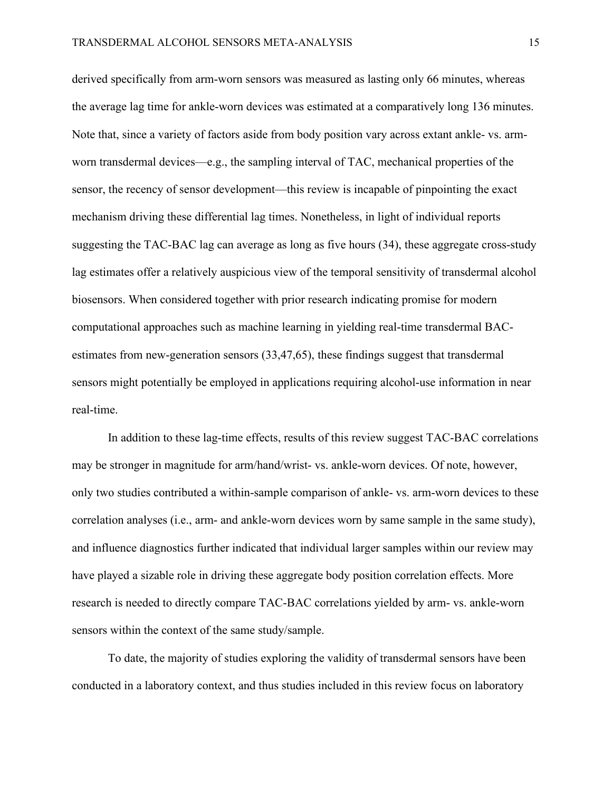derived specifically from arm-worn sensors was measured as lasting only 66 minutes, whereas the average lag time for ankle-worn devices was estimated at a comparatively long 136 minutes. Note that, since a variety of factors aside from body position vary across extant ankle- vs. armworn transdermal devices—e.g., the sampling interval of TAC, mechanical properties of the sensor, the recency of sensor development—this review is incapable of pinpointing the exact mechanism driving these differential lag times. Nonetheless, in light of individual reports suggesting the TAC-BAC lag can average as long as five hours (34), these aggregate cross-study lag estimates offer a relatively auspicious view of the temporal sensitivity of transdermal alcohol biosensors. When considered together with prior research indicating promise for modern computational approaches such as machine learning in yielding real-time transdermal BACestimates from new-generation sensors (33,47,65), these findings suggest that transdermal sensors might potentially be employed in applications requiring alcohol-use information in near real-time.

In addition to these lag-time effects, results of this review suggest TAC-BAC correlations may be stronger in magnitude for arm/hand/wrist- vs. ankle-worn devices. Of note, however, only two studies contributed a within-sample comparison of ankle- vs. arm-worn devices to these correlation analyses (i.e., arm- and ankle-worn devices worn by same sample in the same study), and influence diagnostics further indicated that individual larger samples within our review may have played a sizable role in driving these aggregate body position correlation effects. More research is needed to directly compare TAC-BAC correlations yielded by arm- vs. ankle-worn sensors within the context of the same study/sample.

To date, the majority of studies exploring the validity of transdermal sensors have been conducted in a laboratory context, and thus studies included in this review focus on laboratory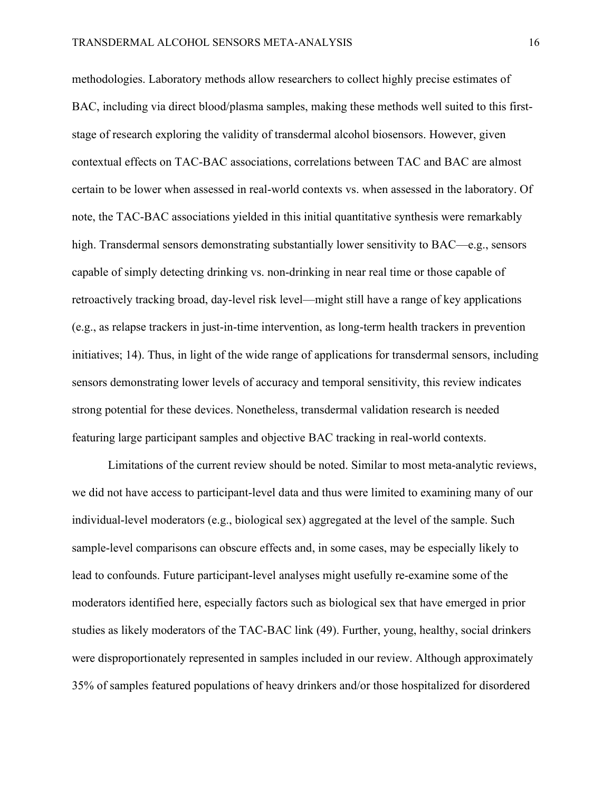methodologies. Laboratory methods allow researchers to collect highly precise estimates of BAC, including via direct blood/plasma samples, making these methods well suited to this firststage of research exploring the validity of transdermal alcohol biosensors. However, given contextual effects on TAC-BAC associations, correlations between TAC and BAC are almost certain to be lower when assessed in real-world contexts vs. when assessed in the laboratory. Of note, the TAC-BAC associations yielded in this initial quantitative synthesis were remarkably high. Transdermal sensors demonstrating substantially lower sensitivity to BAC—e.g., sensors capable of simply detecting drinking vs. non-drinking in near real time or those capable of retroactively tracking broad, day-level risk level—might still have a range of key applications (e.g., as relapse trackers in just-in-time intervention, as long-term health trackers in prevention initiatives; 14). Thus, in light of the wide range of applications for transdermal sensors, including sensors demonstrating lower levels of accuracy and temporal sensitivity, this review indicates strong potential for these devices. Nonetheless, transdermal validation research is needed featuring large participant samples and objective BAC tracking in real-world contexts.

Limitations of the current review should be noted. Similar to most meta-analytic reviews, we did not have access to participant-level data and thus were limited to examining many of our individual-level moderators (e.g., biological sex) aggregated at the level of the sample. Such sample-level comparisons can obscure effects and, in some cases, may be especially likely to lead to confounds. Future participant-level analyses might usefully re-examine some of the moderators identified here, especially factors such as biological sex that have emerged in prior studies as likely moderators of the TAC-BAC link (49). Further, young, healthy, social drinkers were disproportionately represented in samples included in our review. Although approximately 35% of samples featured populations of heavy drinkers and/or those hospitalized for disordered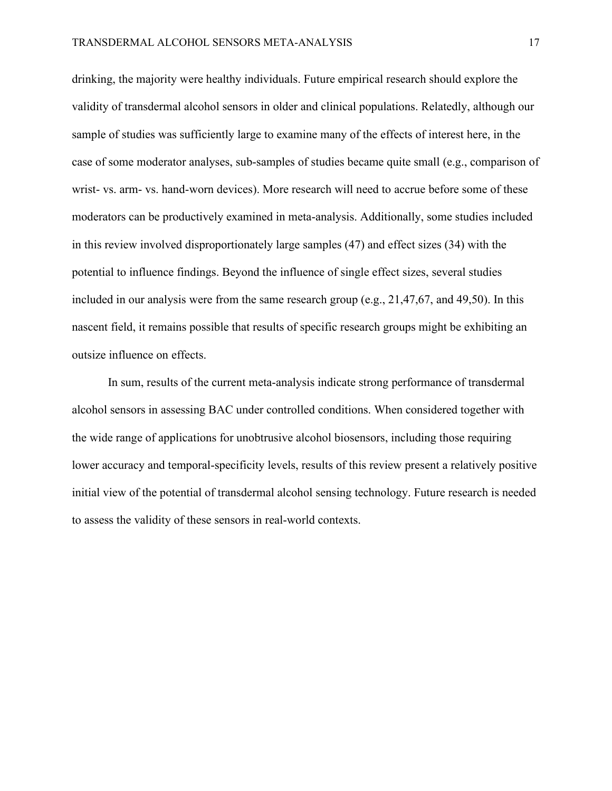drinking, the majority were healthy individuals. Future empirical research should explore the validity of transdermal alcohol sensors in older and clinical populations. Relatedly, although our sample of studies was sufficiently large to examine many of the effects of interest here, in the case of some moderator analyses, sub-samples of studies became quite small (e.g., comparison of wrist- vs. arm- vs. hand-worn devices). More research will need to accrue before some of these moderators can be productively examined in meta-analysis. Additionally, some studies included in this review involved disproportionately large samples (47) and effect sizes (34) with the potential to influence findings. Beyond the influence of single effect sizes, several studies included in our analysis were from the same research group (e.g., 21,47,67, and 49,50). In this nascent field, it remains possible that results of specific research groups might be exhibiting an outsize influence on effects.

 In sum, results of the current meta-analysis indicate strong performance of transdermal alcohol sensors in assessing BAC under controlled conditions. When considered together with the wide range of applications for unobtrusive alcohol biosensors, including those requiring lower accuracy and temporal-specificity levels, results of this review present a relatively positive initial view of the potential of transdermal alcohol sensing technology. Future research is needed to assess the validity of these sensors in real-world contexts.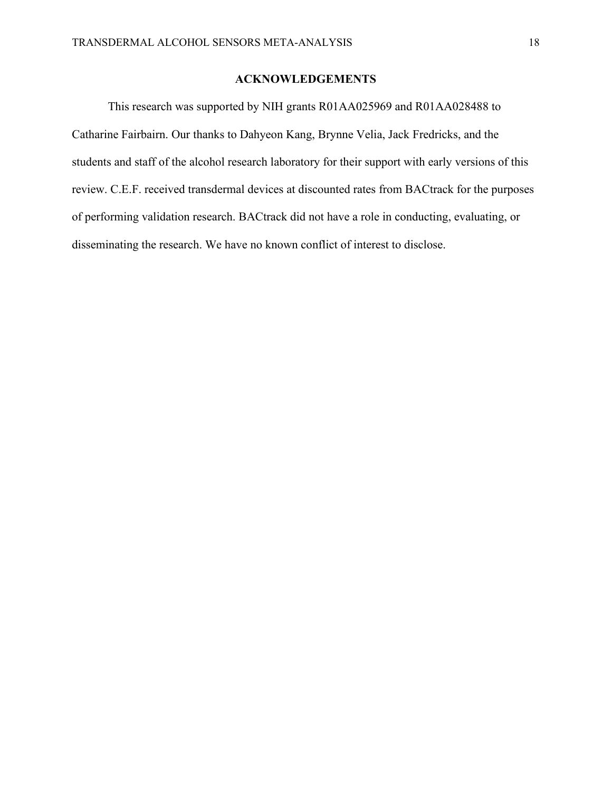## **ACKNOWLEDGEMENTS**

This research was supported by NIH grants R01AA025969 and R01AA028488 to Catharine Fairbairn. Our thanks to Dahyeon Kang, Brynne Velia, Jack Fredricks, and the students and staff of the alcohol research laboratory for their support with early versions of this review. C.E.F. received transdermal devices at discounted rates from BACtrack for the purposes of performing validation research. BACtrack did not have a role in conducting, evaluating, or disseminating the research. We have no known conflict of interest to disclose.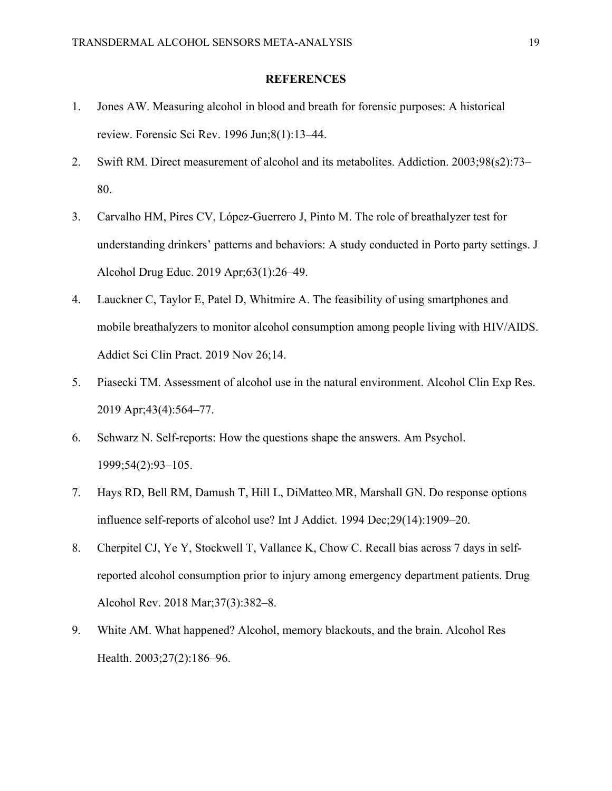#### **REFERENCES**

- 1. Jones AW. Measuring alcohol in blood and breath for forensic purposes: A historical review. Forensic Sci Rev. 1996 Jun;8(1):13–44.
- 2. Swift RM. Direct measurement of alcohol and its metabolites. Addiction. 2003;98(s2):73– 80.
- 3. Carvalho HM, Pires CV, López-Guerrero J, Pinto M. The role of breathalyzer test for understanding drinkers' patterns and behaviors: A study conducted in Porto party settings. J Alcohol Drug Educ. 2019 Apr;63(1):26–49.
- 4. Lauckner C, Taylor E, Patel D, Whitmire A. The feasibility of using smartphones and mobile breathalyzers to monitor alcohol consumption among people living with HIV/AIDS. Addict Sci Clin Pract. 2019 Nov 26;14.
- 5. Piasecki TM. Assessment of alcohol use in the natural environment. Alcohol Clin Exp Res. 2019 Apr;43(4):564–77.
- 6. Schwarz N. Self-reports: How the questions shape the answers. Am Psychol. 1999;54(2):93–105.
- 7. Hays RD, Bell RM, Damush T, Hill L, DiMatteo MR, Marshall GN. Do response options influence self-reports of alcohol use? Int J Addict. 1994 Dec;29(14):1909–20.
- 8. Cherpitel CJ, Ye Y, Stockwell T, Vallance K, Chow C. Recall bias across 7 days in selfreported alcohol consumption prior to injury among emergency department patients. Drug Alcohol Rev. 2018 Mar;37(3):382–8.
- 9. White AM. What happened? Alcohol, memory blackouts, and the brain. Alcohol Res Health. 2003;27(2):186–96.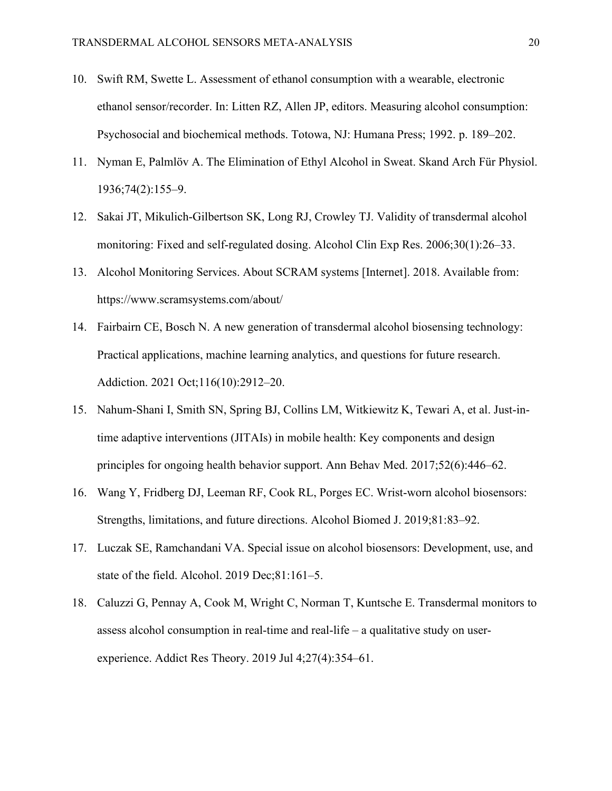- 10. Swift RM, Swette L. Assessment of ethanol consumption with a wearable, electronic ethanol sensor/recorder. In: Litten RZ, Allen JP, editors. Measuring alcohol consumption: Psychosocial and biochemical methods. Totowa, NJ: Humana Press; 1992. p. 189–202.
- 11. Nyman E, Palmlöv A. The Elimination of Ethyl Alcohol in Sweat. Skand Arch Für Physiol. 1936;74(2):155–9.
- 12. Sakai JT, Mikulich-Gilbertson SK, Long RJ, Crowley TJ. Validity of transdermal alcohol monitoring: Fixed and self-regulated dosing. Alcohol Clin Exp Res. 2006;30(1):26–33.
- 13. Alcohol Monitoring Services. About SCRAM systems [Internet]. 2018. Available from: https://www.scramsystems.com/about/
- 14. Fairbairn CE, Bosch N. A new generation of transdermal alcohol biosensing technology: Practical applications, machine learning analytics, and questions for future research. Addiction. 2021 Oct;116(10):2912–20.
- 15. Nahum-Shani I, Smith SN, Spring BJ, Collins LM, Witkiewitz K, Tewari A, et al. Just-intime adaptive interventions (JITAIs) in mobile health: Key components and design principles for ongoing health behavior support. Ann Behav Med. 2017;52(6):446–62.
- 16. Wang Y, Fridberg DJ, Leeman RF, Cook RL, Porges EC. Wrist-worn alcohol biosensors: Strengths, limitations, and future directions. Alcohol Biomed J. 2019;81:83–92.
- 17. Luczak SE, Ramchandani VA. Special issue on alcohol biosensors: Development, use, and state of the field. Alcohol. 2019 Dec;81:161–5.
- 18. Caluzzi G, Pennay A, Cook M, Wright C, Norman T, Kuntsche E. Transdermal monitors to assess alcohol consumption in real-time and real-life – a qualitative study on userexperience. Addict Res Theory. 2019 Jul 4;27(4):354–61.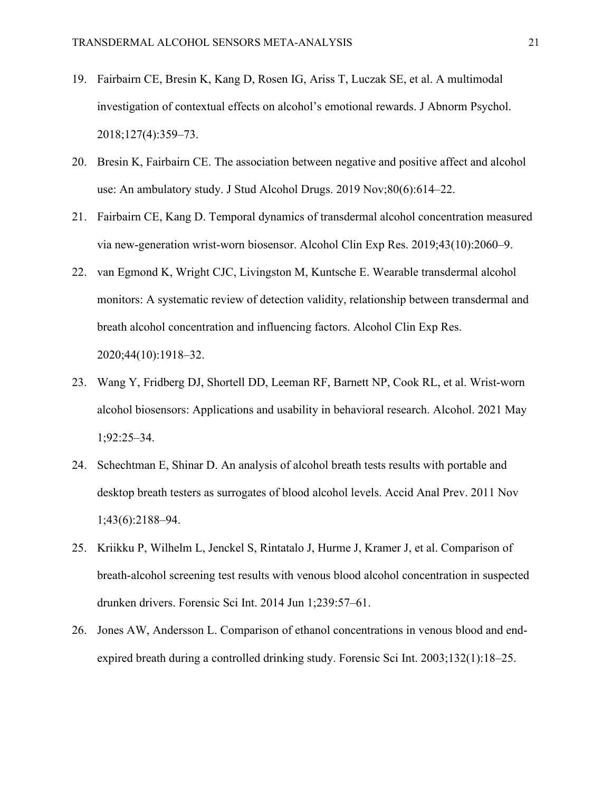- 19. Fairbairn CE, Bresin K, Kang D, Rosen IG, Ariss T, Luczak SE, et al. A multimodal investigation of contextual effects on alcohol's emotional rewards. J Abnorm Psychol. 2018;127(4):359–73.
- 20. Bresin K, Fairbairn CE. The association between negative and positive affect and alcohol use: An ambulatory study. J Stud Alcohol Drugs. 2019 Nov;80(6):614–22.
- 21. Fairbairn CE, Kang D. Temporal dynamics of transdermal alcohol concentration measured via new-generation wrist-worn biosensor. Alcohol Clin Exp Res. 2019;43(10):2060–9.
- 22. van Egmond K, Wright CJC, Livingston M, Kuntsche E. Wearable transdermal alcohol monitors: A systematic review of detection validity, relationship between transdermal and breath alcohol concentration and influencing factors. Alcohol Clin Exp Res. 2020;44(10):1918–32.
- 23. Wang Y, Fridberg DJ, Shortell DD, Leeman RF, Barnett NP, Cook RL, et al. Wrist-worn alcohol biosensors: Applications and usability in behavioral research. Alcohol. 2021 May 1;92:25–34.
- 24. Schechtman E, Shinar D. An analysis of alcohol breath tests results with portable and desktop breath testers as surrogates of blood alcohol levels. Accid Anal Prev. 2011 Nov 1;43(6):2188–94.
- 25. Kriikku P, Wilhelm L, Jenckel S, Rintatalo J, Hurme J, Kramer J, et al. Comparison of breath-alcohol screening test results with venous blood alcohol concentration in suspected drunken drivers. Forensic Sci Int. 2014 Jun 1;239:57–61.
- 26. Jones AW, Andersson L. Comparison of ethanol concentrations in venous blood and endexpired breath during a controlled drinking study. Forensic Sci Int. 2003;132(1):18–25.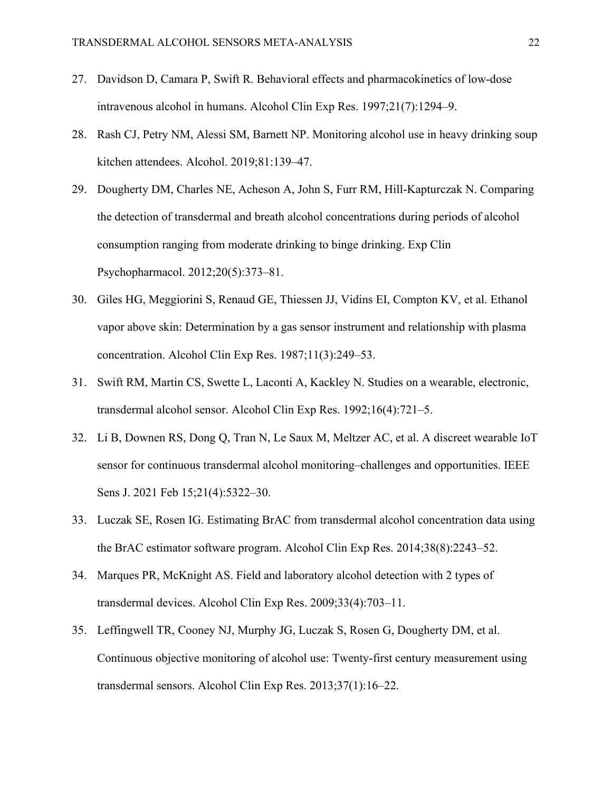- 27. Davidson D, Camara P, Swift R. Behavioral effects and pharmacokinetics of low-dose intravenous alcohol in humans. Alcohol Clin Exp Res. 1997;21(7):1294–9.
- 28. Rash CJ, Petry NM, Alessi SM, Barnett NP. Monitoring alcohol use in heavy drinking soup kitchen attendees. Alcohol. 2019;81:139–47.
- 29. Dougherty DM, Charles NE, Acheson A, John S, Furr RM, Hill-Kapturczak N. Comparing the detection of transdermal and breath alcohol concentrations during periods of alcohol consumption ranging from moderate drinking to binge drinking. Exp Clin Psychopharmacol. 2012;20(5):373–81.
- 30. Giles HG, Meggiorini S, Renaud GE, Thiessen JJ, Vidins EI, Compton KV, et al. Ethanol vapor above skin: Determination by a gas sensor instrument and relationship with plasma concentration. Alcohol Clin Exp Res. 1987;11(3):249–53.
- 31. Swift RM, Martin CS, Swette L, Laconti A, Kackley N. Studies on a wearable, electronic, transdermal alcohol sensor. Alcohol Clin Exp Res. 1992;16(4):721–5.
- 32. Li B, Downen RS, Dong Q, Tran N, Le Saux M, Meltzer AC, et al. A discreet wearable IoT sensor for continuous transdermal alcohol monitoring–challenges and opportunities. IEEE Sens J. 2021 Feb 15;21(4):5322–30.
- 33. Luczak SE, Rosen IG. Estimating BrAC from transdermal alcohol concentration data using the BrAC estimator software program. Alcohol Clin Exp Res. 2014;38(8):2243–52.
- 34. Marques PR, McKnight AS. Field and laboratory alcohol detection with 2 types of transdermal devices. Alcohol Clin Exp Res. 2009;33(4):703–11.
- 35. Leffingwell TR, Cooney NJ, Murphy JG, Luczak S, Rosen G, Dougherty DM, et al. Continuous objective monitoring of alcohol use: Twenty-first century measurement using transdermal sensors. Alcohol Clin Exp Res. 2013;37(1):16–22.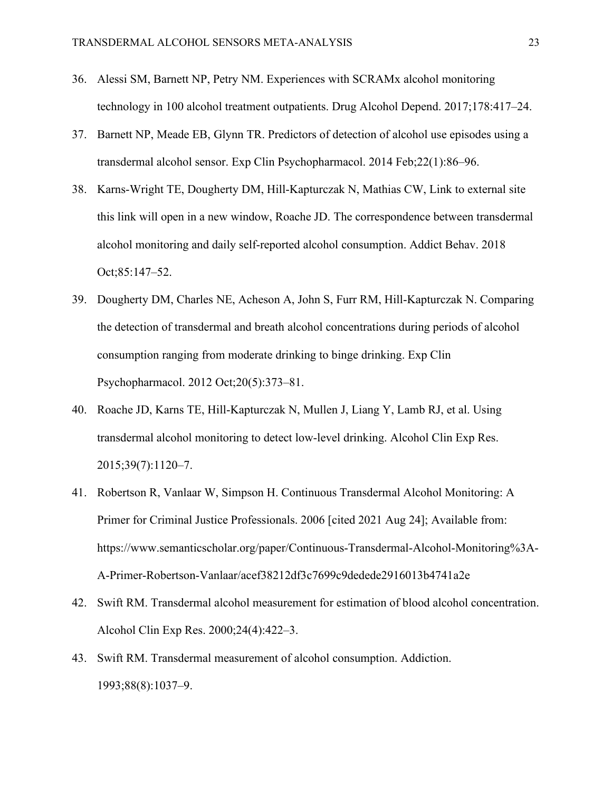- 36. Alessi SM, Barnett NP, Petry NM. Experiences with SCRAMx alcohol monitoring technology in 100 alcohol treatment outpatients. Drug Alcohol Depend. 2017;178:417–24.
- 37. Barnett NP, Meade EB, Glynn TR. Predictors of detection of alcohol use episodes using a transdermal alcohol sensor. Exp Clin Psychopharmacol. 2014 Feb;22(1):86–96.
- 38. Karns-Wright TE, Dougherty DM, Hill-Kapturczak N, Mathias CW, Link to external site this link will open in a new window, Roache JD. The correspondence between transdermal alcohol monitoring and daily self-reported alcohol consumption. Addict Behav. 2018 Oct;85:147–52.
- 39. Dougherty DM, Charles NE, Acheson A, John S, Furr RM, Hill-Kapturczak N. Comparing the detection of transdermal and breath alcohol concentrations during periods of alcohol consumption ranging from moderate drinking to binge drinking. Exp Clin Psychopharmacol. 2012 Oct;20(5):373–81.
- 40. Roache JD, Karns TE, Hill-Kapturczak N, Mullen J, Liang Y, Lamb RJ, et al. Using transdermal alcohol monitoring to detect low-level drinking. Alcohol Clin Exp Res. 2015;39(7):1120–7.
- 41. Robertson R, Vanlaar W, Simpson H. Continuous Transdermal Alcohol Monitoring: A Primer for Criminal Justice Professionals. 2006 [cited 2021 Aug 24]; Available from: https://www.semanticscholar.org/paper/Continuous-Transdermal-Alcohol-Monitoring%3A-A-Primer-Robertson-Vanlaar/acef38212df3c7699c9dedede2916013b4741a2e
- 42. Swift RM. Transdermal alcohol measurement for estimation of blood alcohol concentration. Alcohol Clin Exp Res. 2000;24(4):422–3.
- 43. Swift RM. Transdermal measurement of alcohol consumption. Addiction. 1993;88(8):1037–9.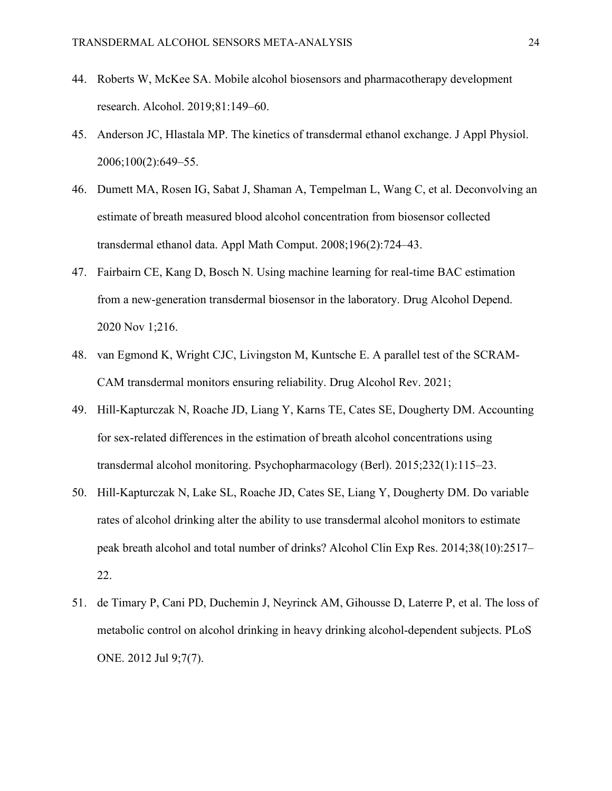- 44. Roberts W, McKee SA. Mobile alcohol biosensors and pharmacotherapy development research. Alcohol. 2019;81:149–60.
- 45. Anderson JC, Hlastala MP. The kinetics of transdermal ethanol exchange. J Appl Physiol. 2006;100(2):649–55.
- 46. Dumett MA, Rosen IG, Sabat J, Shaman A, Tempelman L, Wang C, et al. Deconvolving an estimate of breath measured blood alcohol concentration from biosensor collected transdermal ethanol data. Appl Math Comput. 2008;196(2):724–43.
- 47. Fairbairn CE, Kang D, Bosch N. Using machine learning for real-time BAC estimation from a new-generation transdermal biosensor in the laboratory. Drug Alcohol Depend. 2020 Nov 1;216.
- 48. van Egmond K, Wright CJC, Livingston M, Kuntsche E. A parallel test of the SCRAM-CAM transdermal monitors ensuring reliability. Drug Alcohol Rev. 2021;
- 49. Hill-Kapturczak N, Roache JD, Liang Y, Karns TE, Cates SE, Dougherty DM. Accounting for sex-related differences in the estimation of breath alcohol concentrations using transdermal alcohol monitoring. Psychopharmacology (Berl). 2015;232(1):115–23.
- 50. Hill-Kapturczak N, Lake SL, Roache JD, Cates SE, Liang Y, Dougherty DM. Do variable rates of alcohol drinking alter the ability to use transdermal alcohol monitors to estimate peak breath alcohol and total number of drinks? Alcohol Clin Exp Res. 2014;38(10):2517– 22.
- 51. de Timary P, Cani PD, Duchemin J, Neyrinck AM, Gihousse D, Laterre P, et al. The loss of metabolic control on alcohol drinking in heavy drinking alcohol-dependent subjects. PLoS ONE. 2012 Jul 9;7(7).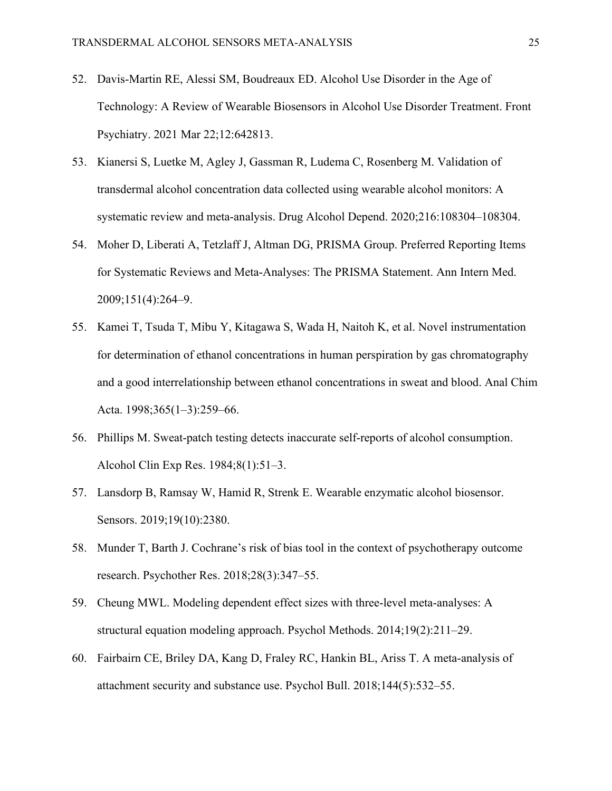- 52. Davis-Martin RE, Alessi SM, Boudreaux ED. Alcohol Use Disorder in the Age of Technology: A Review of Wearable Biosensors in Alcohol Use Disorder Treatment. Front Psychiatry. 2021 Mar 22;12:642813.
- 53. Kianersi S, Luetke M, Agley J, Gassman R, Ludema C, Rosenberg M. Validation of transdermal alcohol concentration data collected using wearable alcohol monitors: A systematic review and meta-analysis. Drug Alcohol Depend. 2020;216:108304–108304.
- 54. Moher D, Liberati A, Tetzlaff J, Altman DG, PRISMA Group. Preferred Reporting Items for Systematic Reviews and Meta-Analyses: The PRISMA Statement. Ann Intern Med. 2009;151(4):264–9.
- 55. Kamei T, Tsuda T, Mibu Y, Kitagawa S, Wada H, Naitoh K, et al. Novel instrumentation for determination of ethanol concentrations in human perspiration by gas chromatography and a good interrelationship between ethanol concentrations in sweat and blood. Anal Chim Acta. 1998;365(1–3):259–66.
- 56. Phillips M. Sweat-patch testing detects inaccurate self-reports of alcohol consumption. Alcohol Clin Exp Res. 1984;8(1):51–3.
- 57. Lansdorp B, Ramsay W, Hamid R, Strenk E. Wearable enzymatic alcohol biosensor. Sensors. 2019;19(10):2380.
- 58. Munder T, Barth J. Cochrane's risk of bias tool in the context of psychotherapy outcome research. Psychother Res. 2018;28(3):347–55.
- 59. Cheung MWL. Modeling dependent effect sizes with three-level meta-analyses: A structural equation modeling approach. Psychol Methods. 2014;19(2):211–29.
- 60. Fairbairn CE, Briley DA, Kang D, Fraley RC, Hankin BL, Ariss T. A meta-analysis of attachment security and substance use. Psychol Bull. 2018;144(5):532–55.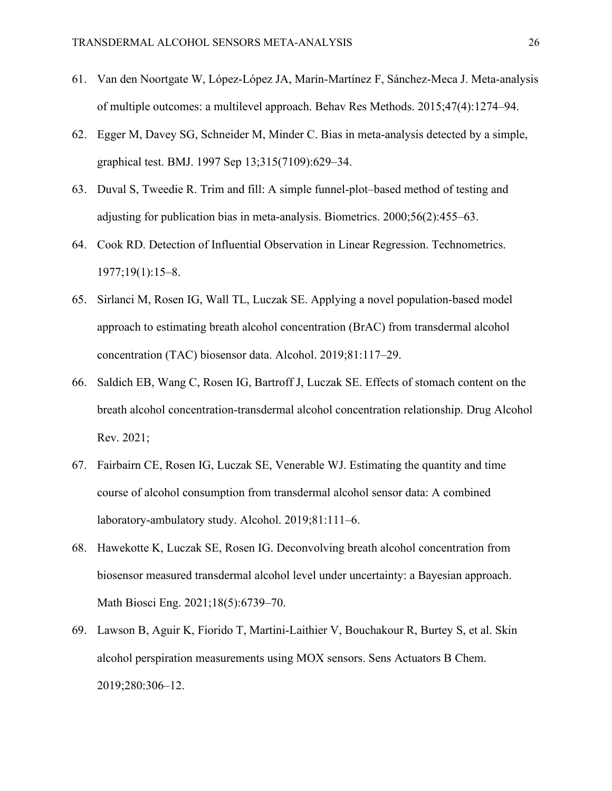- 61. Van den Noortgate W, López-López JA, Marín-Martínez F, Sánchez-Meca J. Meta-analysis of multiple outcomes: a multilevel approach. Behav Res Methods. 2015;47(4):1274–94.
- 62. Egger M, Davey SG, Schneider M, Minder C. Bias in meta-analysis detected by a simple, graphical test. BMJ. 1997 Sep 13;315(7109):629–34.
- 63. Duval S, Tweedie R. Trim and fill: A simple funnel-plot–based method of testing and adjusting for publication bias in meta-analysis. Biometrics. 2000;56(2):455–63.
- 64. Cook RD. Detection of Influential Observation in Linear Regression. Technometrics. 1977;19(1):15–8.
- 65. Sirlanci M, Rosen IG, Wall TL, Luczak SE. Applying a novel population-based model approach to estimating breath alcohol concentration (BrAC) from transdermal alcohol concentration (TAC) biosensor data. Alcohol. 2019;81:117–29.
- 66. Saldich EB, Wang C, Rosen IG, Bartroff J, Luczak SE. Effects of stomach content on the breath alcohol concentration-transdermal alcohol concentration relationship. Drug Alcohol Rev. 2021;
- 67. Fairbairn CE, Rosen IG, Luczak SE, Venerable WJ. Estimating the quantity and time course of alcohol consumption from transdermal alcohol sensor data: A combined laboratory-ambulatory study. Alcohol. 2019;81:111–6.
- 68. Hawekotte K, Luczak SE, Rosen IG. Deconvolving breath alcohol concentration from biosensor measured transdermal alcohol level under uncertainty: a Bayesian approach. Math Biosci Eng. 2021;18(5):6739–70.
- 69. Lawson B, Aguir K, Fiorido T, Martini-Laithier V, Bouchakour R, Burtey S, et al. Skin alcohol perspiration measurements using MOX sensors. Sens Actuators B Chem. 2019;280:306–12.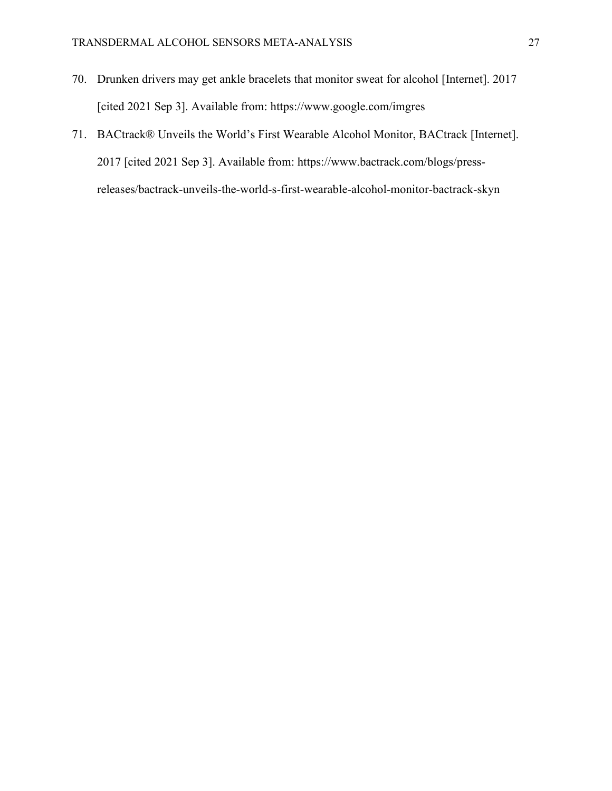- 70. Drunken drivers may get ankle bracelets that monitor sweat for alcohol [Internet]. 2017 [cited 2021 Sep 3]. Available from: https://www.google.com/imgres
- 71. BACtrack® Unveils the World's First Wearable Alcohol Monitor, BACtrack [Internet]. 2017 [cited 2021 Sep 3]. Available from: https://www.bactrack.com/blogs/pressreleases/bactrack-unveils-the-world-s-first-wearable-alcohol-monitor-bactrack-skyn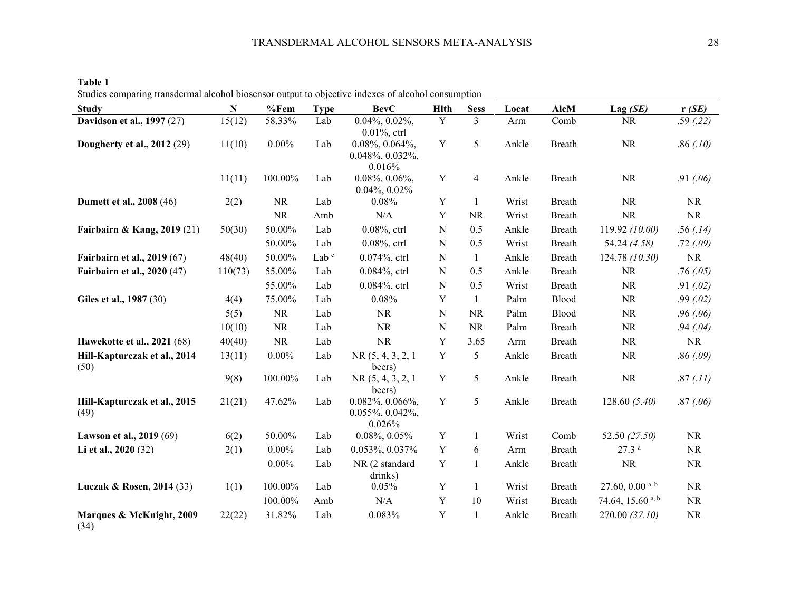| ales comparing transacrimar arconor oroscillor oatpat to oopeer to macked or arconor constituption<br><b>Study</b> | $\mathbf N$ | %Fem      | <b>Type</b>      | <b>BevC</b>                                                        | Hlth        | <b>Sess</b>    | Locat | AlcM          | Lag(SE)                       | r(SE)     |
|--------------------------------------------------------------------------------------------------------------------|-------------|-----------|------------------|--------------------------------------------------------------------|-------------|----------------|-------|---------------|-------------------------------|-----------|
| <b>Davidson et al., 1997 (27)</b>                                                                                  | 15(12)      | 58.33%    | Lab              | $0.04\%, 0.02\%,$                                                  | Y           | 3              | Arm   | Comb          | <b>NR</b>                     | .59(.22)  |
| <b>Dougherty et al., 2012 (29)</b>                                                                                 | 11(10)      | $0.00\%$  | Lab              | $0.01\%$ , ctrl<br>$0.08\%, 0.064\%,$<br>0.048%, 0.032%,<br>0.016% | $\mathbf Y$ | 5              | Ankle | Breath        | NR                            | .86(.10)  |
|                                                                                                                    | 11(11)      | 100.00%   | Lab              | $0.08\%, 0.06\%,$<br>$0.04\%, 0.02\%$                              | Y           | $\overline{4}$ | Ankle | Breath        | <b>NR</b>                     | .91(06)   |
| <b>Dumett et al., 2008 (46)</b>                                                                                    | 2(2)        | <b>NR</b> | Lab              | 0.08%                                                              | Y           | $\mathbf{1}$   | Wrist | <b>Breath</b> | <b>NR</b>                     | <b>NR</b> |
|                                                                                                                    |             | <b>NR</b> | Amb              | N/A                                                                | Y           | <b>NR</b>      | Wrist | Breath        | NR                            | <b>NR</b> |
| Fairbairn & Kang, 2019 (21)                                                                                        | 50(30)      | 50.00%    | Lab              | $0.08\%$ , ctrl                                                    | ${\bf N}$   | 0.5            | Ankle | Breath        | 119.92 (10.00)                | .56(.14)  |
|                                                                                                                    |             | 50.00%    | Lab              | 0.08%, ctrl                                                        | ${\bf N}$   | 0.5            | Wrist | <b>Breath</b> | 54.24 (4.58)                  | .72(0.09) |
| <b>Fairbairn et al., 2019 (67)</b>                                                                                 | 48(40)      | 50.00%    | Lab <sup>c</sup> | 0.074%, ctrl                                                       | ${\bf N}$   | $\mathbf{1}$   | Ankle | Breath        | 124.78(10.30)                 | <b>NR</b> |
| <b>Fairbairn et al., 2020 (47)</b>                                                                                 | 110(73)     | 55.00%    | Lab              | 0.084%, ctrl                                                       | ${\bf N}$   | 0.5            | Ankle | <b>Breath</b> | NR                            | .76(0.05) |
|                                                                                                                    |             | 55.00%    | Lab              | 0.084%, ctrl                                                       | ${\bf N}$   | 0.5            | Wrist | Breath        | NR                            | .91(02)   |
| Giles et al., 1987 (30)                                                                                            | 4(4)        | 75.00%    | Lab              | 0.08%                                                              | Y           | $\mathbf{1}$   | Palm  | Blood         | NR                            | .99(0.02) |
|                                                                                                                    | 5(5)        | <b>NR</b> | Lab              | <b>NR</b>                                                          | N           | <b>NR</b>      | Palm  | Blood         | NR                            | .96(.06)  |
|                                                                                                                    | 10(10)      | <b>NR</b> | Lab              | <b>NR</b>                                                          | N           | <b>NR</b>      | Palm  | Breath        | <b>NR</b>                     | .94(04)   |
| <b>Hawekotte et al., 2021 (68)</b>                                                                                 | 40(40)      | <b>NR</b> | Lab              | <b>NR</b>                                                          | Y           | 3.65           | Arm   | Breath        | $\rm NR$                      | <b>NR</b> |
| Hill-Kapturczak et al., 2014<br>(50)                                                                               | 13(11)      | $0.00\%$  | Lab              | NR(5, 4, 3, 2, 1)<br>beers)                                        | $\mathbf Y$ | 5              | Ankle | Breath        | NR                            | .86(.09)  |
|                                                                                                                    | 9(8)        | 100.00%   | Lab              | NR(5, 4, 3, 2, 1)<br>beers)                                        | Y           | 5              | Ankle | Breath        | <b>NR</b>                     | .87(.11)  |
| Hill-Kapturczak et al., 2015<br>(49)                                                                               | 21(21)      | 47.62%    | Lab              | $0.082\%$ , $0.066\%$ ,<br>$0.055\%, 0.042\%,$<br>0.026%           | $\mathbf Y$ | 5              | Ankle | Breath        | 128.60(5.40)                  | .87(06)   |
| Lawson et al., 2019 (69)                                                                                           | 6(2)        | 50.00%    | Lab              | $0.08\%, 0.05\%$                                                   | $\mathbf Y$ | $\mathbf{1}$   | Wrist | Comb          | 52.50 (27.50)                 | NR        |
| Li et al., 2020 (32)                                                                                               | 2(1)        | $0.00\%$  | Lab              | 0.053%, 0.037%                                                     | $\mathbf Y$ | 6              | Arm   | Breath        | 27.3 <sup>a</sup>             | NR        |
|                                                                                                                    |             | $0.00\%$  | Lab              | NR (2 standard<br>drinks)                                          | $\mathbf Y$ | $\mathbf{1}$   | Ankle | <b>Breath</b> | <b>NR</b>                     | <b>NR</b> |
| Luczak & Rosen, 2014 (33)                                                                                          | 1(1)        | 100.00%   | Lab              | 0.05%                                                              | $\mathbf Y$ | $\mathbf{1}$   | Wrist | Breath        | $27.60, 0.00$ <sup>a, b</sup> | <b>NR</b> |
|                                                                                                                    |             | 100.00%   | Amb              | N/A                                                                | Y           | 10             | Wrist | <b>Breath</b> | 74.64, 15.60 <sup>a, b</sup>  | NR        |
| Marques & McKnight, 2009<br>(34)                                                                                   | 22(22)      | 31.82%    | Lab              | 0.083%                                                             | Y           | $\mathbf{1}$   | Ankle | <b>Breath</b> | 270.00 (37.10)                | $\rm NR$  |

**Table 1** Studies comparing transdermal alcohol biosensor output to objective indexes of alcohol consumption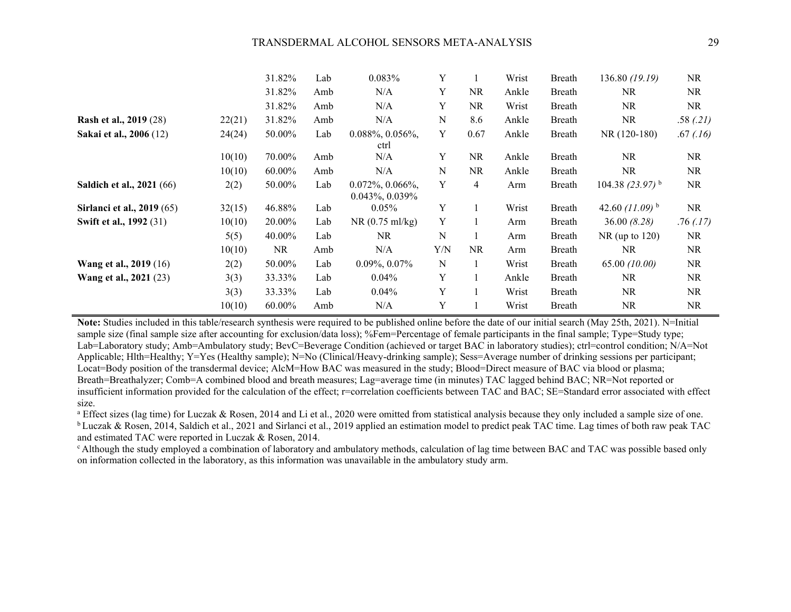|                                  |        | 31.82%    | Lab | 0.083%                                    | Y           |      | Wrist | Breath | 136.80 (19.19)       | NR.       |
|----------------------------------|--------|-----------|-----|-------------------------------------------|-------------|------|-------|--------|----------------------|-----------|
|                                  |        | 31.82%    | Amb | N/A                                       | Y           | NR   | Ankle | Breath | <b>NR</b>            | NR        |
|                                  |        | 31.82%    | Amb | N/A                                       | Y           | NR.  | Wrist | Breath | <b>NR</b>            | NR        |
| <b>Rash et al., 2019 (28)</b>    | 22(21) | 31.82%    | Amb | N/A                                       | N           | 8.6  | Ankle | Breath | <b>NR</b>            | .58(.21)  |
| Sakai et al., 2006 (12)          | 24(24) | 50.00%    | Lab | $0.088\%, 0.056\%,$<br>ctrl               | Y           | 0.67 | Ankle | Breath | NR (120-180)         | .67(0.16) |
|                                  | 10(10) | 70.00%    | Amb | N/A                                       | Y           | NR   | Ankle | Breath | <b>NR</b>            | NR.       |
|                                  | 10(10) | 60.00%    | Amb | N/A                                       | N           | NR   | Ankle | Breath | <b>NR</b>            | NR        |
| <b>Saldich et al., 2021</b> (66) | 2(2)   | 50.00%    | Lab | $0.072\%, 0.066\%,$<br>$0.043\%, 0.039\%$ | Y           | 4    | Arm   | Breath | 104.38 $(23.97)^{b}$ | NR        |
| Sirlanci et al., 2019 (65)       | 32(15) | 46.88%    | Lab | $0.05\%$                                  | Y           |      | Wrist | Breath | 42.60 $(11.09)^{b}$  | NR        |
| Swift et al., 1992 (31)          | 10(10) | 20.00%    | Lab | $NR(0.75 \text{ ml/kg})$                  | Y           |      | Arm   | Breath | 36.00(8.28)          | .76(.17)  |
|                                  | 5(5)   | 40.00%    | Lab | <b>NR</b>                                 | N           |      | Arm   | Breath | $NR$ (up to 120)     | NR.       |
|                                  | 10(10) | <b>NR</b> | Amb | N/A                                       | Y/N         | NR.  | Arm   | Breath | NR.                  | NR.       |
| Wang et al., 2019 (16)           | 2(2)   | 50.00%    | Lab | $0.09\%, 0.07\%$                          | $\mathbf N$ |      | Wrist | Breath | 65.00 (10.00)        | NR.       |
| <b>Wang et al., 2021 (23)</b>    | 3(3)   | 33.33%    | Lab | $0.04\%$                                  | Y           |      | Ankle | Breath | <b>NR</b>            | NR.       |
|                                  | 3(3)   | 33.33%    | Lab | $0.04\%$                                  | Y           |      | Wrist | Breath | <b>NR</b>            | NR        |
|                                  | 10(10) | 60.00%    | Amb | N/A                                       | Y           |      | Wrist | Breath | <b>NR</b>            | NR        |

**Note:** Studies included in this table/research synthesis were required to be published online before the date of our initial search (May 25th, 2021). N=Initial sample size (final sample size after accounting for exclusion/data loss); %Fem=Percentage of female participants in the final sample; Type=Study type; Lab=Laboratory study; Amb=Ambulatory study; BevC=Beverage Condition (achieved or target BAC in laboratory studies); ctrl=control condition; N/A=Not Applicable; Hlth=Healthy; Y=Yes (Healthy sample); N=No (Clinical/Heavy-drinking sample); Sess=Average number of drinking sessions per participant; Locat=Body position of the transdermal device; AlcM=How BAC was measured in the study; Blood=Direct measure of BAC via blood or plasma; Breath=Breathalyzer; Comb=A combined blood and breath measures; Lag=average time (in minutes) TAC lagged behind BAC; NR=Not reported or insufficient information provided for the calculation of the effect; r=correlation coefficients between TAC and BAC; SE=Standard error associated with effect size.

<sup>a</sup> Effect sizes (lag time) for Luczak & Rosen, 2014 and Li et al., 2020 were omitted from statistical analysis because they only included a sample size of one. <sup>b</sup> Luczak & Rosen, 2014, Saldich et al., 2021 and Sirlanci et al., 2019 applied an estimation model to predict peak TAC time. Lag times of both raw peak TAC and estimated TAC were reported in Luczak & Rosen, 2014.

<sup>c</sup> Although the study employed a combination of laboratory and ambulatory methods, calculation of lag time between BAC and TAC was possible based only on information collected in the laboratory, as this information was unavailable in the ambulatory study arm.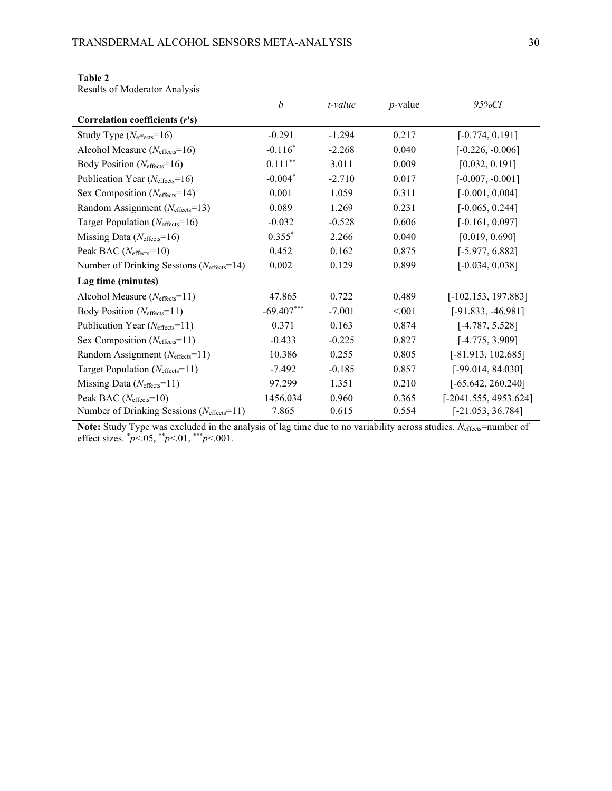|                                                         | $\boldsymbol{b}$ | t-value  | <i>p</i> -value | 95%CI                   |
|---------------------------------------------------------|------------------|----------|-----------------|-------------------------|
| Correlation coefficients (r's)                          |                  |          |                 |                         |
| Study Type $(N_{\text{effects}}=16)$                    | $-0.291$         | $-1.294$ | 0.217           | $[-0.774, 0.191]$       |
| Alcohol Measure ( $N_{\text{effects}}=16$ )             | $-0.116*$        | $-2.268$ | 0.040           | $[-0.226, -0.006]$      |
| Body Position (Neffects=16)                             | $0.111***$       | 3.011    | 0.009           | [0.032, 0.191]          |
| Publication Year ( $N_{\text{effects}}=16$ )            | $-0.004*$        | $-2.710$ | 0.017           | $[-0.007, -0.001]$      |
| Sex Composition ( $N_{\text{effects}}=14$ )             | 0.001            | 1.059    | 0.311           | $[-0.001, 0.004]$       |
| Random Assignment (Neffects=13)                         | 0.089            | 1.269    | 0.231           | $[-0.065, 0.244]$       |
| Target Population ( $N_{\text{effects}}=16$ )           | $-0.032$         | $-0.528$ | 0.606           | $[-0.161, 0.097]$       |
| Missing Data $(N_{\text{effects}}=16)$                  | $0.355*$         | 2.266    | 0.040           | [0.019, 0.690]          |
| Peak BAC ( $N_{\text{effects}}=10$ )                    | 0.452            | 0.162    | 0.875           | $[-5.977, 6.882]$       |
| Number of Drinking Sessions (Neffects=14)               | 0.002            | 0.129    | 0.899           | $[-0.034, 0.038]$       |
| Lag time (minutes)                                      |                  |          |                 |                         |
| Alcohol Measure $(N_{\text{effects}}=11)$               | 47.865           | 0.722    | 0.489           | $[-102.153, 197.883]$   |
| Body Position (Neffects=11)                             | $-69.407***$     | $-7.001$ | < 0.001         | $[-91.833, -46.981]$    |
| Publication Year ( $N_{\text{effects}}=11$ )            | 0.371            | 0.163    | 0.874           | $[-4.787, 5.528]$       |
| Sex Composition ( $N_{\text{effects}}=11$ )             | $-0.433$         | $-0.225$ | 0.827           | $[-4.775, 3.909]$       |
| Random Assignment (Neffects=11)                         | 10.386           | 0.255    | 0.805           | $[-81.913, 102.685]$    |
| Target Population $(N_{\text{effects}}=11)$             | $-7.492$         | $-0.185$ | 0.857           | $[-99.014, 84.030]$     |
| Missing Data $(N_{\text{effects}}=11)$                  | 97.299           | 1.351    | 0.210           | $[-65.642, 260.240]$    |
| Peak BAC ( $N_{\text{effects}}=10$ )                    | 1456.034         | 0.960    | 0.365           | $[-2041.555, 4953.624]$ |
| Number of Drinking Sessions ( $N_{\text{effects}}$ =11) | 7.865            | 0.615    | 0.554           | $[-21.053, 36.784]$     |

**Table 2** Results of Moderator Analysis

**Note:** Study Type was excluded in the analysis of lag time due to no variability across studies. *N*effects=number of effect sizes. \* *p*<.05, \*\**p*<.01, \*\*\**p*<.001.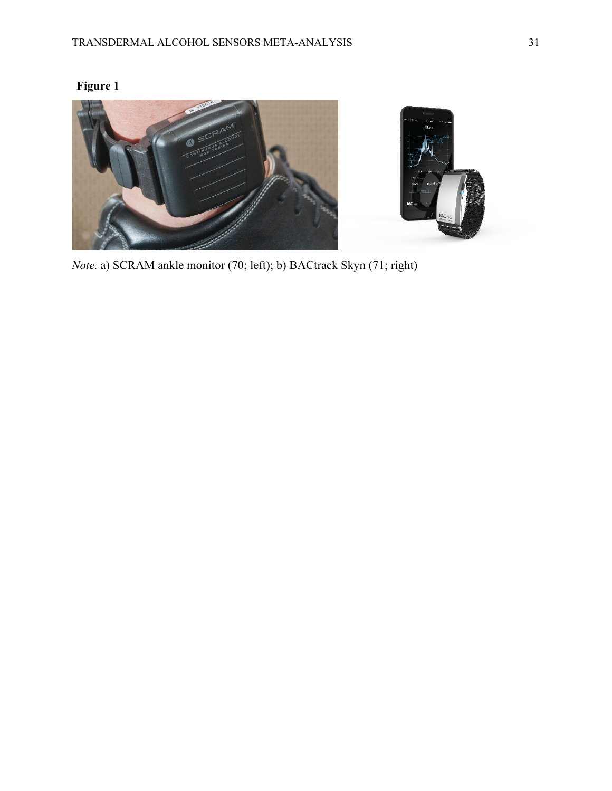

*Note.* a) SCRAM ankle monitor (70; left); b) BACtrack Skyn (71; right)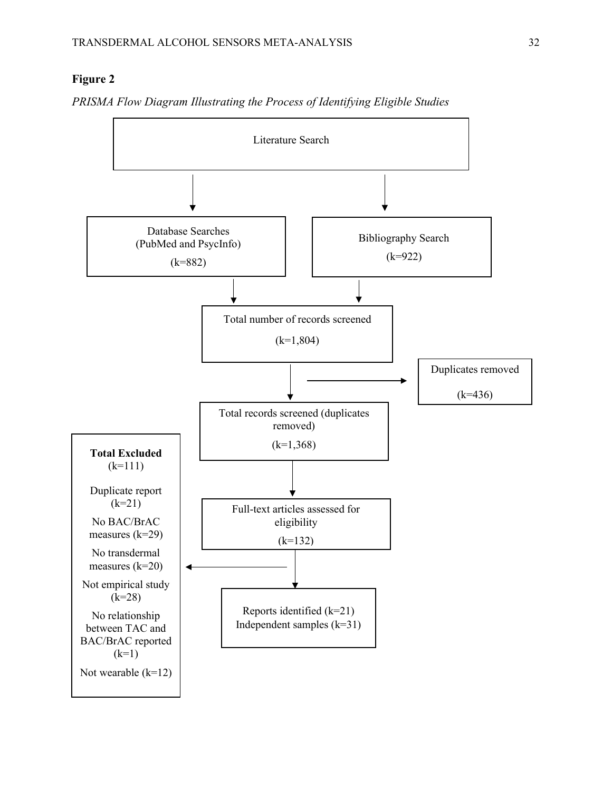## **Figure 2**

*PRISMA Flow Diagram Illustrating the Process of Identifying Eligible Studies*